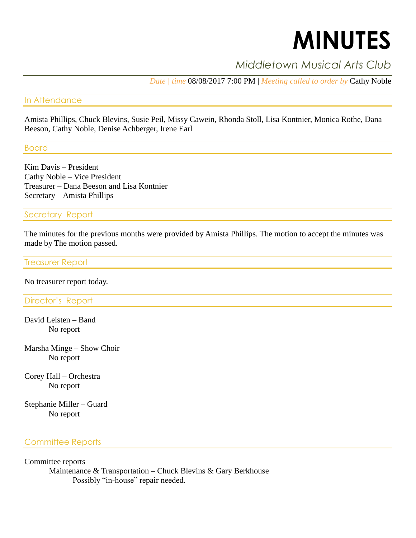# **MINUTES**

# *Middletown Musical Arts Club*

*Date | time* 08/08/2017 7:00 PM | *Meeting called to order by* Cathy Noble

#### In Attendance

Amista Phillips, Chuck Blevins, Susie Peil, Missy Cawein, Rhonda Stoll, Lisa Kontnier, Monica Rothe, Dana Beeson, Cathy Noble, Denise Achberger, Irene Earl

Board

Kim Davis – President Cathy Noble – Vice President Treasurer – Dana Beeson and Lisa Kontnier Secretary – Amista Phillips

Secretary Report

The minutes for the previous months were provided by Amista Phillips. The motion to accept the minutes was made by The motion passed.

Treasurer Report

No treasurer report today.

Director's Report

David Leisten – Band No report

Marsha Minge – Show Choir No report

Corey Hall – Orchestra No report

Stephanie Miller – Guard No report

## Committee Reports

Committee reports

Maintenance & Transportation – Chuck Blevins & Gary Berkhouse Possibly "in-house" repair needed.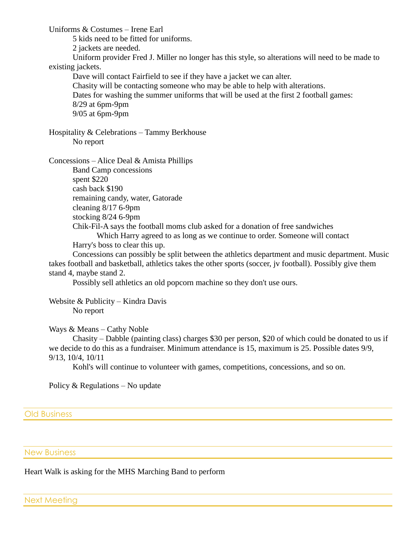Uniforms & Costumes – Irene Earl

5 kids need to be fitted for uniforms.

2 jackets are needed.

Uniform provider Fred J. Miller no longer has this style, so alterations will need to be made to existing jackets.

Dave will contact Fairfield to see if they have a jacket we can alter. Chasity will be contacting someone who may be able to help with alterations. Dates for washing the summer uniforms that will be used at the first 2 football games: 8/29 at 6pm-9pm 9/05 at 6pm-9pm

Hospitality & Celebrations – Tammy Berkhouse No report

Concessions – Alice Deal & Amista Phillips

Band Camp concessions spent \$220 cash back \$190 remaining candy, water, Gatorade cleaning 8/17 6-9pm stocking 8/24 6-9pm Chik-Fil-A says the football moms club asked for a donation of free sandwiches Which Harry agreed to as long as we continue to order. Someone will contact Harry's boss to clear this up.

Concessions can possibly be split between the athletics department and music department. Music takes football and basketball, athletics takes the other sports (soccer, jv football). Possibly give them stand 4, maybe stand 2.

Possibly sell athletics an old popcorn machine so they don't use ours.

Website & Publicity – Kindra Davis No report

Ways & Means – Cathy Noble

Chasity – Dabble (painting class) charges \$30 per person, \$20 of which could be donated to us if we decide to do this as a fundraiser. Minimum attendance is 15, maximum is 25. Possible dates 9/9, 9/13, 10/4, 10/11

Kohl's will continue to volunteer with games, competitions, concessions, and so on.

Policy & Regulations – No update

Old Business

New Business

Heart Walk is asking for the MHS Marching Band to perform